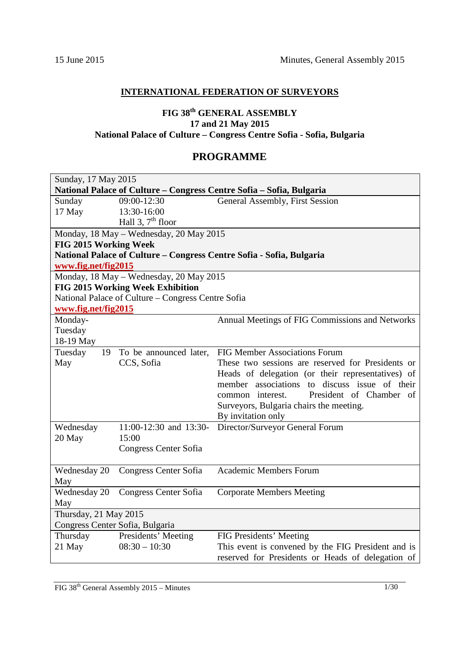# **INTERNATIONAL FEDERATION OF SURVEYORS**

# **FIG 38th GENERAL ASSEMBLY 17 and 21 May 2015 National Palace of Culture – Congress Centre Sofia - Sofia, Bulgaria**

## **PROGRAMME**

| Sunday, 17 May 2015                                                  |                                                    |                                                                      |  |
|----------------------------------------------------------------------|----------------------------------------------------|----------------------------------------------------------------------|--|
| National Palace of Culture - Congress Centre Sofia - Sofia, Bulgaria |                                                    |                                                                      |  |
| Sunday                                                               | $\overline{09:00}$ -12:30                          | General Assembly, First Session                                      |  |
| 17 May                                                               | 13:30-16:00                                        |                                                                      |  |
|                                                                      | Hall 3, $7th$ floor                                |                                                                      |  |
|                                                                      | Monday, 18 May - Wednesday, 20 May 2015            |                                                                      |  |
| FIG 2015 Working Week                                                |                                                    |                                                                      |  |
|                                                                      |                                                    | National Palace of Culture - Congress Centre Sofia - Sofia, Bulgaria |  |
| www.fig.net/fig2015                                                  |                                                    |                                                                      |  |
|                                                                      | Monday, 18 May - Wednesday, 20 May 2015            |                                                                      |  |
|                                                                      | FIG 2015 Working Week Exhibition                   |                                                                      |  |
|                                                                      | National Palace of Culture - Congress Centre Sofia |                                                                      |  |
| www.fig.net/fig2015                                                  |                                                    |                                                                      |  |
| Monday-                                                              |                                                    | Annual Meetings of FIG Commissions and Networks                      |  |
| Tuesday                                                              |                                                    |                                                                      |  |
| 18-19 May                                                            |                                                    |                                                                      |  |
| Tuesday<br>19                                                        | To be announced later,                             | <b>FIG Member Associations Forum</b>                                 |  |
| May                                                                  | CCS, Sofia                                         | These two sessions are reserved for Presidents or                    |  |
|                                                                      |                                                    | Heads of delegation (or their representatives) of                    |  |
|                                                                      |                                                    | member associations to discuss issue of their                        |  |
|                                                                      |                                                    | President of Chamber of<br>common interest.                          |  |
|                                                                      |                                                    | Surveyors, Bulgaria chairs the meeting.                              |  |
|                                                                      |                                                    | By invitation only                                                   |  |
| Wednesday                                                            | $11:00-12:30$ and $13:30-$                         | Director/Surveyor General Forum                                      |  |
| 20 May                                                               | 15:00                                              |                                                                      |  |
|                                                                      | Congress Center Sofia                              |                                                                      |  |
|                                                                      |                                                    |                                                                      |  |
| Wednesday 20                                                         | Congress Center Sofia                              | <b>Academic Members Forum</b>                                        |  |
| May                                                                  |                                                    |                                                                      |  |
| Wednesday 20                                                         | Congress Center Sofia                              | <b>Corporate Members Meeting</b>                                     |  |
| May                                                                  |                                                    |                                                                      |  |
| Thursday, 21 May 2015                                                |                                                    |                                                                      |  |
| Congress Center Sofia, Bulgaria                                      |                                                    |                                                                      |  |
| Thursday                                                             | <b>Presidents' Meeting</b>                         | FIG Presidents' Meeting                                              |  |
| 21 May                                                               | $08:30 - 10:30$                                    | This event is convened by the FIG President and is                   |  |
|                                                                      |                                                    | reserved for Presidents or Heads of delegation of                    |  |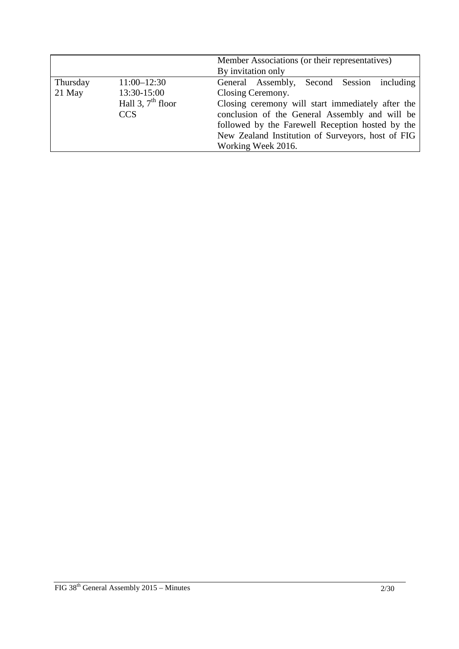|          |                     | Member Associations (or their representatives)    |  |
|----------|---------------------|---------------------------------------------------|--|
|          |                     | By invitation only                                |  |
| Thursday | $11:00 - 12:30$     | General Assembly, Second Session including        |  |
| 21 May   | 13:30-15:00         | Closing Ceremony.                                 |  |
|          | Hall 3, $7th$ floor | Closing ceremony will start immediately after the |  |
|          | <b>CCS</b>          | conclusion of the General Assembly and will be    |  |
|          |                     | followed by the Farewell Reception hosted by the  |  |
|          |                     | New Zealand Institution of Surveyors, host of FIG |  |
|          |                     | Working Week 2016.                                |  |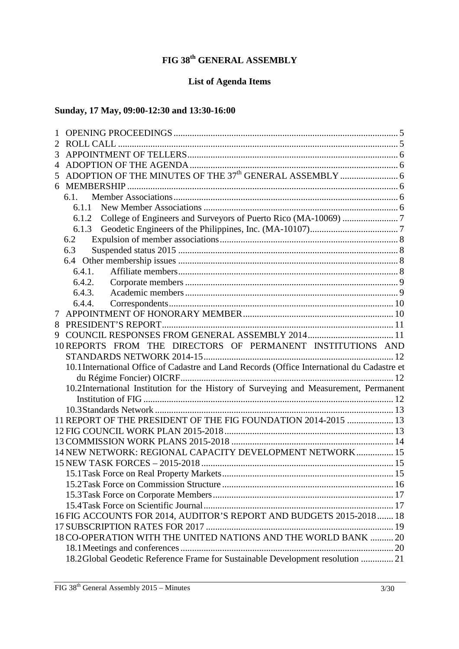# **FIG 38th GENERAL ASSEMBLY**

# **List of Agenda Items**

# **Sunday, 17 May, 09:00-12:30 and 13:30-16:00**

| 2 |                                                                                             |  |
|---|---------------------------------------------------------------------------------------------|--|
| 3 |                                                                                             |  |
| 4 |                                                                                             |  |
| 5 |                                                                                             |  |
| 6 |                                                                                             |  |
|   | 6.1.                                                                                        |  |
|   | 6.1.1                                                                                       |  |
|   |                                                                                             |  |
|   |                                                                                             |  |
|   | 6.2                                                                                         |  |
|   | 6.3                                                                                         |  |
|   | 6.4                                                                                         |  |
|   | 6.4.1.                                                                                      |  |
|   | 6.4.2.                                                                                      |  |
|   | 6.4.3.                                                                                      |  |
|   | 6.4.4.                                                                                      |  |
| 7 |                                                                                             |  |
| 8 |                                                                                             |  |
| 9 |                                                                                             |  |
|   | 10 REPORTS FROM THE DIRECTORS OF PERMANENT INSTITUTIONS AND                                 |  |
|   |                                                                                             |  |
|   | 10.1 International Office of Cadastre and Land Records (Office International du Cadastre et |  |
|   |                                                                                             |  |
|   | 10.2 International Institution for the History of Surveying and Measurement, Permanent      |  |
|   |                                                                                             |  |
|   |                                                                                             |  |
|   | 11 REPORT OF THE PRESIDENT OF THE FIG FOUNDATION 2014-2015  13                              |  |
|   |                                                                                             |  |
|   |                                                                                             |  |
|   | 14 NEW NETWORK: REGIONAL CAPACITY DEVELOPMENT NETWORK 15                                    |  |
|   |                                                                                             |  |
|   |                                                                                             |  |
|   |                                                                                             |  |
|   |                                                                                             |  |
|   |                                                                                             |  |
|   | 16 FIG ACCOUNTS FOR 2014, AUDITOR'S REPORT AND BUDGETS 2015-2018  18                        |  |
|   |                                                                                             |  |
|   | 18 CO-OPERATION WITH THE UNITED NATIONS AND THE WORLD BANK  20                              |  |
|   |                                                                                             |  |
|   | 18.2Global Geodetic Reference Frame for Sustainable Development resolution  21              |  |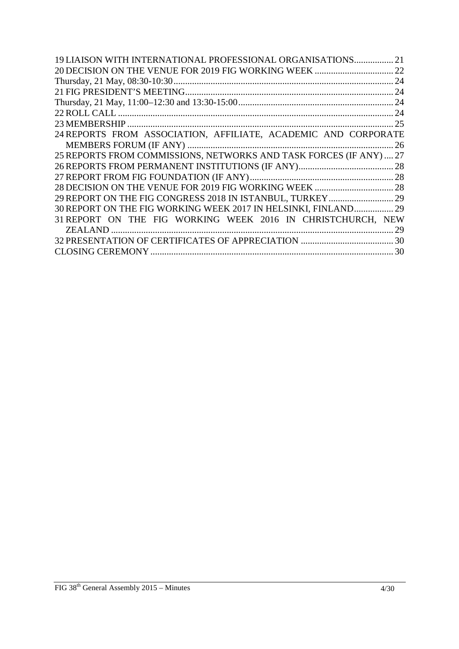| 19 LIAISON WITH INTERNATIONAL PROFESSIONAL ORGANISATIONS           | 21 |
|--------------------------------------------------------------------|----|
|                                                                    | 22 |
|                                                                    | 24 |
|                                                                    |    |
|                                                                    |    |
|                                                                    |    |
|                                                                    |    |
| 24 REPORTS FROM ASSOCIATION, AFFILIATE, ACADEMIC AND CORPORATE     |    |
|                                                                    | 26 |
| 25 REPORTS FROM COMMISSIONS, NETWORKS AND TASK FORCES (IF ANY)  27 |    |
|                                                                    |    |
|                                                                    |    |
|                                                                    |    |
|                                                                    |    |
| 30 REPORT ON THE FIG WORKING WEEK 2017 IN HELSINKI, FINLAND 29     |    |
| 31 REPORT ON THE FIG WORKING WEEK 2016 IN CHRISTCHURCH, NEW        |    |
|                                                                    | 29 |
|                                                                    |    |
|                                                                    |    |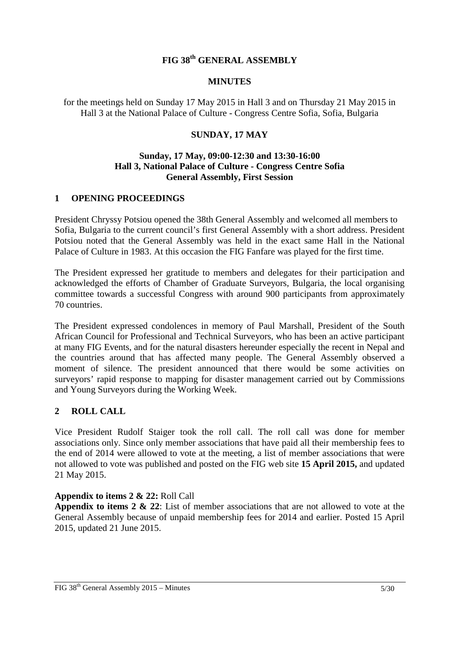## **FIG 38th GENERAL ASSEMBLY**

#### **MINUTES**

for the meetings held on Sunday 17 May 2015 in Hall 3 and on Thursday 21 May 2015 in Hall 3 at the National Palace of Culture - Congress Centre Sofia, Sofia, Bulgaria

### **SUNDAY, 17 MAY**

#### **Sunday, 17 May, 09:00-12:30 and 13:30-16:00 Hall 3, National Palace of Culture - Congress Centre Sofia General Assembly, First Session**

#### **1 OPENING PROCEEDINGS**

President Chryssy Potsiou opened the 38th General Assembly and welcomed all members to Sofia, Bulgaria to the current council's first General Assembly with a short address. President Potsiou noted that the General Assembly was held in the exact same Hall in the National Palace of Culture in 1983. At this occasion the FIG Fanfare was played for the first time.

The President expressed her gratitude to members and delegates for their participation and acknowledged the efforts of Chamber of Graduate Surveyors, Bulgaria, the local organising committee towards a successful Congress with around 900 participants from approximately 70 countries.

The President expressed condolences in memory of Paul Marshall, President of the South African Council for Professional and Technical Surveyors, who has been an active participant at many FIG Events, and for the natural disasters hereunder especially the recent in Nepal and the countries around that has affected many people. The General Assembly observed a moment of silence. The president announced that there would be some activities on surveyors' rapid response to mapping for disaster management carried out by Commissions and Young Surveyors during the Working Week.

#### **2 ROLL CALL**

Vice President Rudolf Staiger took the roll call. The roll call was done for member associations only. Since only member associations that have paid all their membership fees to the end of 2014 were allowed to vote at the meeting, a list of member associations that were not allowed to vote was published and posted on the FIG web site **15 April 2015,** and updated 21 May 2015.

#### **Appendix to items 2 & 22:** Roll Call

**Appendix to items 2 & 22**: List of member associations that are not allowed to vote at the General Assembly because of unpaid membership fees for 2014 and earlier. Posted 15 April 2015, updated 21 June 2015.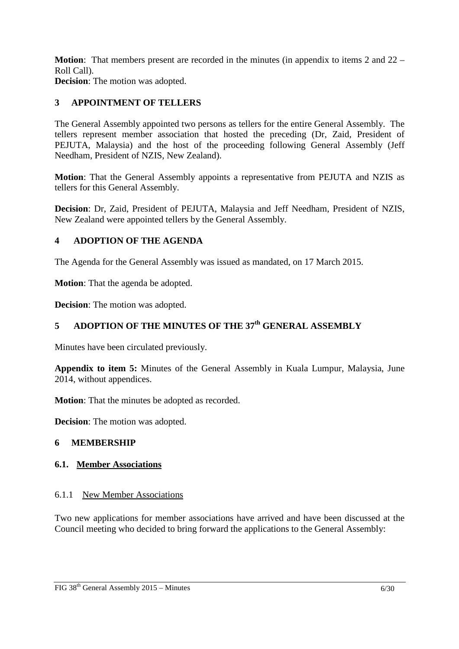**Motion**: That members present are recorded in the minutes (in appendix to items 2 and 22 – Roll Call).

**Decision**: The motion was adopted.

# **3 APPOINTMENT OF TELLERS**

The General Assembly appointed two persons as tellers for the entire General Assembly. The tellers represent member association that hosted the preceding (Dr, Zaid, President of PEJUTA, Malaysia) and the host of the proceeding following General Assembly (Jeff Needham, President of NZIS, New Zealand).

**Motion**: That the General Assembly appoints a representative from PEJUTA and NZIS as tellers for this General Assembly.

**Decision**: Dr, Zaid, President of PEJUTA, Malaysia and Jeff Needham, President of NZIS, New Zealand were appointed tellers by the General Assembly.

## **4 ADOPTION OF THE AGENDA**

The Agenda for the General Assembly was issued as mandated, on 17 March 2015.

**Motion**: That the agenda be adopted.

**Decision**: The motion was adopted.

# **5 ADOPTION OF THE MINUTES OF THE 37th GENERAL ASSEMBLY**

Minutes have been circulated previously.

**Appendix to item 5:** Minutes of the General Assembly in Kuala Lumpur, Malaysia, June 2014, without appendices.

**Motion**: That the minutes be adopted as recorded.

**Decision**: The motion was adopted.

#### **6 MEMBERSHIP**

#### **6.1. Member Associations**

#### 6.1.1 New Member Associations

Two new applications for member associations have arrived and have been discussed at the Council meeting who decided to bring forward the applications to the General Assembly: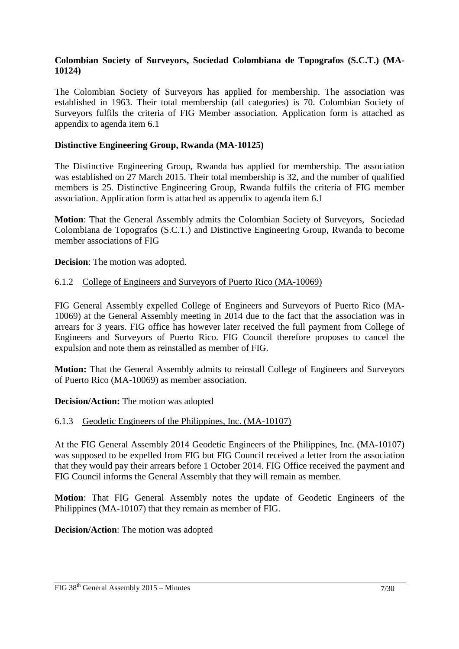### **Colombian Society of Surveyors, Sociedad Colombiana de Topografos (S.C.T.) (MA-10124)**

The Colombian Society of Surveyors has applied for membership. The association was established in 1963. Their total membership (all categories) is 70. Colombian Society of Surveyors fulfils the criteria of FIG Member association. Application form is attached as appendix to agenda item 6.1

### **Distinctive Engineering Group, Rwanda (MA-10125)**

The Distinctive Engineering Group, Rwanda has applied for membership. The association was established on 27 March 2015. Their total membership is 32, and the number of qualified members is 25. Distinctive Engineering Group, Rwanda fulfils the criteria of FIG member association. Application form is attached as appendix to agenda item 6.1

**Motion**: That the General Assembly admits the Colombian Society of Surveyors, Sociedad Colombiana de Topografos (S.C.T.) and Distinctive Engineering Group, Rwanda to become member associations of FIG

**Decision**: The motion was adopted.

#### 6.1.2 College of Engineers and Surveyors of Puerto Rico (MA-10069)

FIG General Assembly expelled College of Engineers and Surveyors of Puerto Rico (MA-10069) at the General Assembly meeting in 2014 due to the fact that the association was in arrears for 3 years. FIG office has however later received the full payment from College of Engineers and Surveyors of Puerto Rico. FIG Council therefore proposes to cancel the expulsion and note them as reinstalled as member of FIG.

**Motion:** That the General Assembly admits to reinstall College of Engineers and Surveyors of Puerto Rico (MA-10069) as member association.

**Decision/Action:** The motion was adopted

#### 6.1.3 Geodetic Engineers of the Philippines, Inc. (MA-10107)

At the FIG General Assembly 2014 Geodetic Engineers of the Philippines, Inc. (MA-10107) was supposed to be expelled from FIG but FIG Council received a letter from the association that they would pay their arrears before 1 October 2014. FIG Office received the payment and FIG Council informs the General Assembly that they will remain as member.

**Motion**: That FIG General Assembly notes the update of Geodetic Engineers of the Philippines (MA-10107) that they remain as member of FIG.

**Decision/Action**: The motion was adopted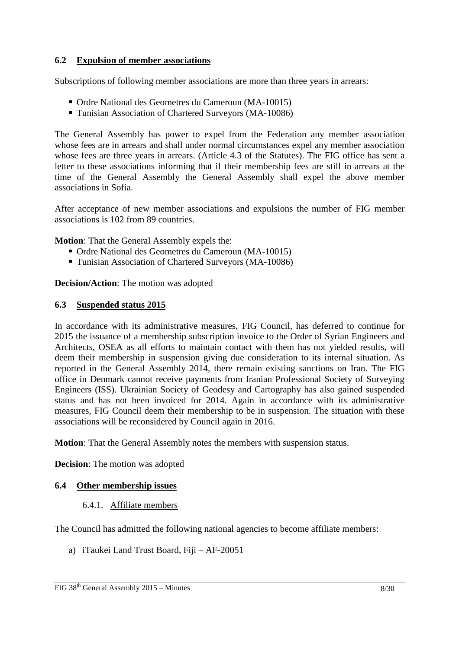### **6.2 Expulsion of member associations**

Subscriptions of following member associations are more than three years in arrears:

- Ordre National des Geometres du Cameroun (MA-10015)
- Tunisian Association of Chartered Surveyors (MA-10086)

The General Assembly has power to expel from the Federation any member association whose fees are in arrears and shall under normal circumstances expel any member association whose fees are three years in arrears. (Article 4.3 of the Statutes). The FIG office has sent a letter to these associations informing that if their membership fees are still in arrears at the time of the General Assembly the General Assembly shall expel the above member associations in Sofia.

After acceptance of new member associations and expulsions the number of FIG member associations is 102 from 89 countries.

**Motion**: That the General Assembly expels the:

- Ordre National des Geometres du Cameroun (MA-10015)
- Tunisian Association of Chartered Surveyors (MA-10086)

**Decision/Action**: The motion was adopted

#### **6.3 Suspended status 2015**

In accordance with its administrative measures, FIG Council, has deferred to continue for 2015 the issuance of a membership subscription invoice to the Order of Syrian Engineers and Architects, OSEA as all efforts to maintain contact with them has not yielded results, will deem their membership in suspension giving due consideration to its internal situation. As reported in the General Assembly 2014, there remain existing sanctions on Iran. The FIG office in Denmark cannot receive payments from Iranian Professional Society of Surveying Engineers (ISS). Ukrainian Society of Geodesy and Cartography has also gained suspended status and has not been invoiced for 2014. Again in accordance with its administrative measures, FIG Council deem their membership to be in suspension. The situation with these associations will be reconsidered by Council again in 2016.

**Motion**: That the General Assembly notes the members with suspension status.

**Decision**: The motion was adopted

#### **6.4 Other membership issues**

#### 6.4.1. Affiliate members

The Council has admitted the following national agencies to become affiliate members:

a) iTaukei Land Trust Board, Fiji – AF-20051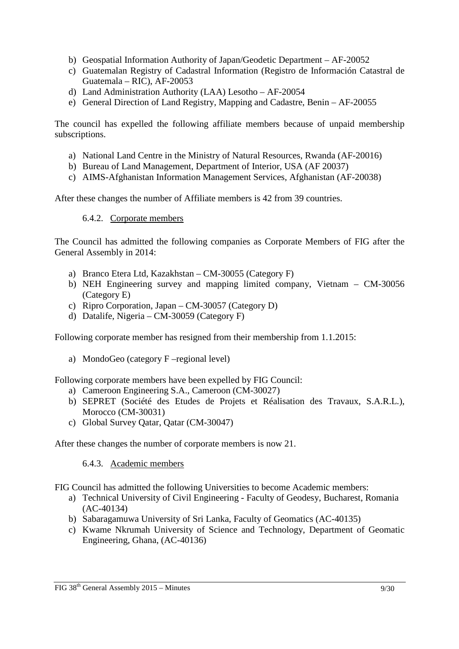- b) Geospatial Information Authority of Japan/Geodetic Department AF-20052
- c) Guatemalan Registry of Cadastral Information (Registro de Información Catastral de Guatemala – RIC), AF-20053
- d) Land Administration Authority (LAA) Lesotho AF-20054
- e) General Direction of Land Registry, Mapping and Cadastre, Benin AF-20055

The council has expelled the following affiliate members because of unpaid membership subscriptions.

- a) National Land Centre in the Ministry of Natural Resources, Rwanda (AF-20016)
- b) Bureau of Land Management, Department of Interior, USA (AF 20037)
- c) AIMS-Afghanistan Information Management Services, Afghanistan (AF-20038)

After these changes the number of Affiliate members is 42 from 39 countries.

### 6.4.2. Corporate members

The Council has admitted the following companies as Corporate Members of FIG after the General Assembly in 2014:

- a) Branco Etera Ltd, Kazakhstan CM-30055 (Category F)
- b) NEH Engineering survey and mapping limited company, Vietnam CM-30056 (Category E)
- c) Ripro Corporation, Japan CM-30057 (Category D)
- d) Datalife, Nigeria CM-30059 (Category F)

Following corporate member has resigned from their membership from 1.1.2015:

a) MondoGeo (category F –regional level)

Following corporate members have been expelled by FIG Council:

- a) Cameroon Engineering S.A., Cameroon (CM-30027 )
- b) SEPRET (Société des Etudes de Projets et Réalisation des Travaux, S.A.R.L.), Morocco (CM-30031)
- c) Global Survey Qatar, Qatar (CM-30047)

After these changes the number of corporate members is now 21.

6.4.3. Academic members

FIG Council has admitted the following Universities to become Academic members:

- a) Technical University of Civil Engineering Faculty of Geodesy, Bucharest, Romania (AC-40134)
- b) Sabaragamuwa University of Sri Lanka, Faculty of Geomatics (AC-40135)
- c) Kwame Nkrumah University of Science and Technology, Department of Geomatic Engineering, Ghana, (AC-40136)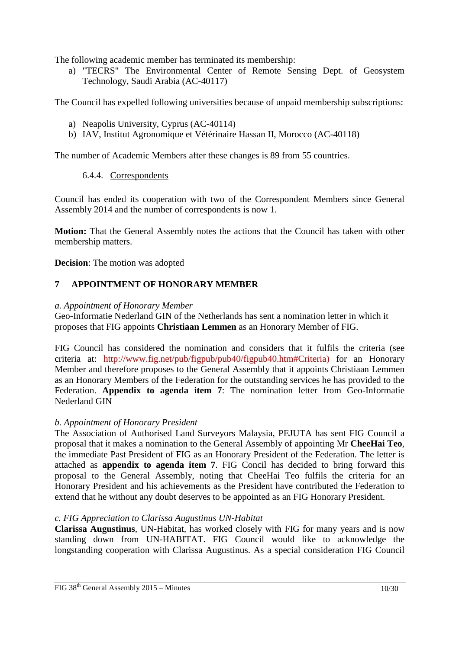The following academic member has terminated its membership:

a) "TECRS" The Environmental Center of Remote Sensing Dept. of Geosystem Technology, Saudi Arabia (AC-40117)

The Council has expelled following universities because of unpaid membership subscriptions:

- a) Neapolis University, Cyprus (AC-40114)
- b) IAV, Institut Agronomique et Vétérinaire Hassan II, Morocco (AC-40118)

The number of Academic Members after these changes is 89 from 55 countries.

6.4.4. Correspondents

Council has ended its cooperation with two of the Correspondent Members since General Assembly 2014 and the number of correspondents is now 1.

**Motion:** That the General Assembly notes the actions that the Council has taken with other membership matters.

**Decision**: The motion was adopted

## **7 APPOINTMENT OF HONORARY MEMBER**

#### *a. Appointment of Honorary Member*

Geo-Informatie Nederland GIN of the Netherlands has sent a nomination letter in which it proposes that FIG appoints **Christiaan Lemmen** as an Honorary Member of FIG.

FIG Council has considered the nomination and considers that it fulfils the criteria (see criteria at: http://www.fig.net/pub/figpub/pub40/figpub40.htm#Criteria) for an Honorary Member and therefore proposes to the General Assembly that it appoints Christiaan Lemmen as an Honorary Members of the Federation for the outstanding services he has provided to the Federation. **Appendix to agenda item 7**: The nomination letter from Geo-Informatie Nederland GIN

#### *b. Appointment of Honorary President*

The Association of Authorised Land Surveyors Malaysia, PEJUTA has sent FIG Council a proposal that it makes a nomination to the General Assembly of appointing Mr **CheeHai Teo**, the immediate Past President of FIG as an Honorary President of the Federation. The letter is attached as **appendix to agenda item 7**. FIG Concil has decided to bring forward this proposal to the General Assembly, noting that CheeHai Teo fulfils the criteria for an Honorary President and his achievements as the President have contributed the Federation to extend that he without any doubt deserves to be appointed as an FIG Honorary President.

#### *c. FIG Appreciation to Clarissa Augustinus UN-Habitat*

**Clarissa Augustinus**, UN-Habitat, has worked closely with FIG for many years and is now standing down from UN-HABITAT. FIG Council would like to acknowledge the longstanding cooperation with Clarissa Augustinus. As a special consideration FIG Council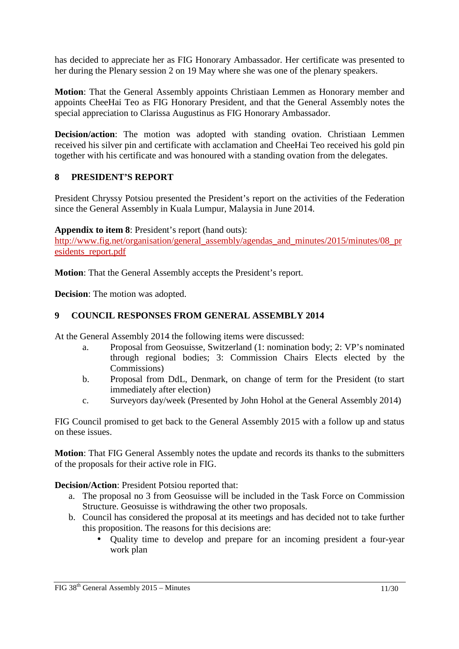has decided to appreciate her as FIG Honorary Ambassador. Her certificate was presented to her during the Plenary session 2 on 19 May where she was one of the plenary speakers.

**Motion**: That the General Assembly appoints Christiaan Lemmen as Honorary member and appoints CheeHai Teo as FIG Honorary President, and that the General Assembly notes the special appreciation to Clarissa Augustinus as FIG Honorary Ambassador.

**Decision/action**: The motion was adopted with standing ovation. Christiaan Lemmen received his silver pin and certificate with acclamation and CheeHai Teo received his gold pin together with his certificate and was honoured with a standing ovation from the delegates.

## **8 PRESIDENT'S REPORT**

President Chryssy Potsiou presented the President's report on the activities of the Federation since the General Assembly in Kuala Lumpur, Malaysia in June 2014.

**Appendix to item 8**: President's report (hand outs):

http://www.fig.net/organisation/general\_assembly/agendas\_and\_minutes/2015/minutes/08\_pr esidents\_report.pdf

**Motion**: That the General Assembly accepts the President's report.

**Decision**: The motion was adopted.

### **9 COUNCIL RESPONSES FROM GENERAL ASSEMBLY 2014**

At the General Assembly 2014 the following items were discussed:

- a. Proposal from Geosuisse, Switzerland (1: nomination body; 2: VP's nominated through regional bodies; 3: Commission Chairs Elects elected by the Commissions)
- b. Proposal from DdL, Denmark, on change of term for the President (to start immediately after election)
- c. Surveyors day/week (Presented by John Hohol at the General Assembly 2014)

FIG Council promised to get back to the General Assembly 2015 with a follow up and status on these issues.

**Motion**: That FIG General Assembly notes the update and records its thanks to the submitters of the proposals for their active role in FIG.

**Decision/Action**: President Potsiou reported that:

- a. The proposal no 3 from Geosuisse will be included in the Task Force on Commission Structure. Geosuisse is withdrawing the other two proposals.
- b. Council has considered the proposal at its meetings and has decided not to take further this proposition. The reasons for this decisions are:
	- Quality time to develop and prepare for an incoming president a four-year work plan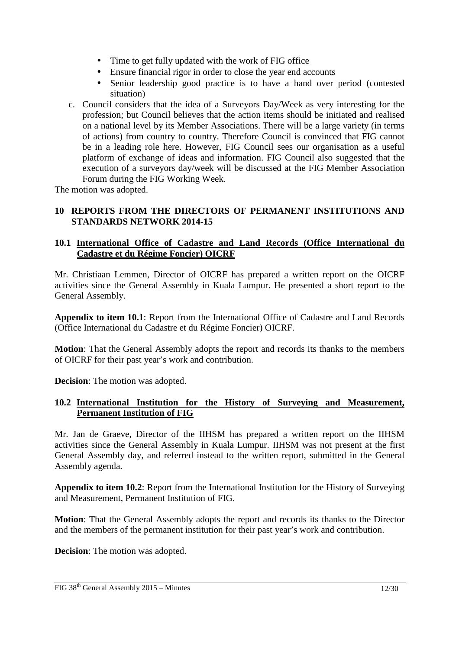- Time to get fully updated with the work of FIG office
- Ensure financial rigor in order to close the year end accounts
- Senior leadership good practice is to have a hand over period (contested situation)
- c. Council considers that the idea of a Surveyors Day/Week as very interesting for the profession; but Council believes that the action items should be initiated and realised on a national level by its Member Associations. There will be a large variety (in terms of actions) from country to country. Therefore Council is convinced that FIG cannot be in a leading role here. However, FIG Council sees our organisation as a useful platform of exchange of ideas and information. FIG Council also suggested that the execution of a surveyors day/week will be discussed at the FIG Member Association Forum during the FIG Working Week.

The motion was adopted.

### **10 REPORTS FROM THE DIRECTORS OF PERMANENT INSTITUTIONS AND STANDARDS NETWORK 2014-15**

### **10.1 International Office of Cadastre and Land Records (Office International du Cadastre et du Régime Foncier) OICRF**

Mr. Christiaan Lemmen, Director of OICRF has prepared a written report on the OICRF activities since the General Assembly in Kuala Lumpur. He presented a short report to the General Assembly.

**Appendix to item 10.1**: Report from the International Office of Cadastre and Land Records (Office International du Cadastre et du Régime Foncier) OICRF.

**Motion**: That the General Assembly adopts the report and records its thanks to the members of OICRF for their past year's work and contribution.

**Decision**: The motion was adopted.

#### **10.2 International Institution for the History of Surveying and Measurement, Permanent Institution of FIG**

Mr. Jan de Graeve, Director of the IIHSM has prepared a written report on the IIHSM activities since the General Assembly in Kuala Lumpur. IIHSM was not present at the first General Assembly day, and referred instead to the written report, submitted in the General Assembly agenda.

**Appendix to item 10.2**: Report from the International Institution for the History of Surveying and Measurement, Permanent Institution of FIG.

**Motion**: That the General Assembly adopts the report and records its thanks to the Director and the members of the permanent institution for their past year's work and contribution.

**Decision**: The motion was adopted.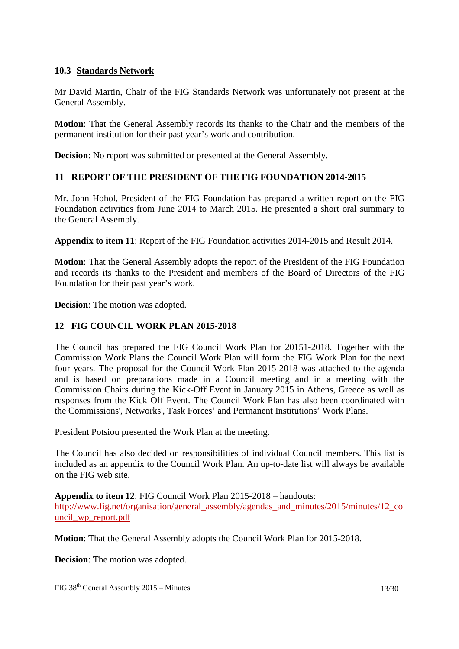### **10.3 Standards Network**

Mr David Martin, Chair of the FIG Standards Network was unfortunately not present at the General Assembly.

**Motion**: That the General Assembly records its thanks to the Chair and the members of the permanent institution for their past year's work and contribution.

**Decision**: No report was submitted or presented at the General Assembly.

#### **11 REPORT OF THE PRESIDENT OF THE FIG FOUNDATION 2014-2015**

Mr. John Hohol, President of the FIG Foundation has prepared a written report on the FIG Foundation activities from June 2014 to March 2015. He presented a short oral summary to the General Assembly.

**Appendix to item 11**: Report of the FIG Foundation activities 2014-2015 and Result 2014.

**Motion**: That the General Assembly adopts the report of the President of the FIG Foundation and records its thanks to the President and members of the Board of Directors of the FIG Foundation for their past year's work.

**Decision**: The motion was adopted.

### **12 FIG COUNCIL WORK PLAN 2015-2018**

The Council has prepared the FIG Council Work Plan for 20151-2018. Together with the Commission Work Plans the Council Work Plan will form the FIG Work Plan for the next four years. The proposal for the Council Work Plan 2015-2018 was attached to the agenda and is based on preparations made in a Council meeting and in a meeting with the Commission Chairs during the Kick-Off Event in January 2015 in Athens, Greece as well as responses from the Kick Off Event. The Council Work Plan has also been coordinated with the Commissions', Networks', Task Forces' and Permanent Institutions' Work Plans.

President Potsiou presented the Work Plan at the meeting.

The Council has also decided on responsibilities of individual Council members. This list is included as an appendix to the Council Work Plan. An up-to-date list will always be available on the FIG web site.

**Appendix to item 12**: FIG Council Work Plan 2015-2018 – handouts: http://www.fig.net/organisation/general\_assembly/agendas\_and\_minutes/2015/minutes/12\_co uncil\_wp\_report.pdf

**Motion**: That the General Assembly adopts the Council Work Plan for 2015-2018.

**Decision**: The motion was adopted.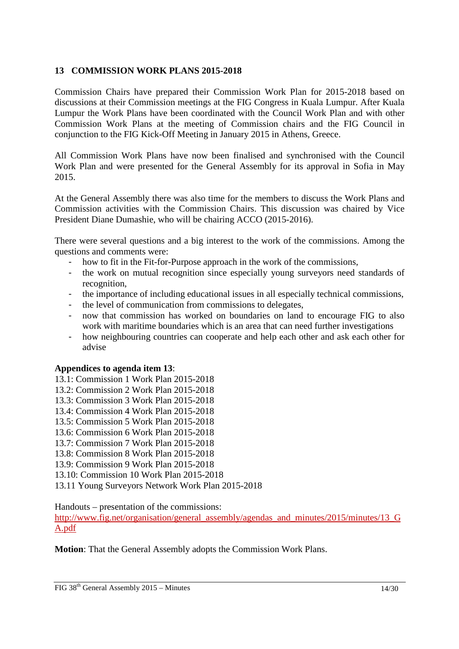### **13 COMMISSION WORK PLANS 2015-2018**

Commission Chairs have prepared their Commission Work Plan for 2015-2018 based on discussions at their Commission meetings at the FIG Congress in Kuala Lumpur. After Kuala Lumpur the Work Plans have been coordinated with the Council Work Plan and with other Commission Work Plans at the meeting of Commission chairs and the FIG Council in conjunction to the FIG Kick-Off Meeting in January 2015 in Athens, Greece.

All Commission Work Plans have now been finalised and synchronised with the Council Work Plan and were presented for the General Assembly for its approval in Sofia in May 2015.

At the General Assembly there was also time for the members to discuss the Work Plans and Commission activities with the Commission Chairs. This discussion was chaired by Vice President Diane Dumashie, who will be chairing ACCO (2015-2016).

There were several questions and a big interest to the work of the commissions. Among the questions and comments were:

- how to fit in the Fit-for-Purpose approach in the work of the commissions,
- the work on mutual recognition since especially young surveyors need standards of recognition,
- the importance of including educational issues in all especially technical commissions,
- the level of communication from commissions to delegates,
- now that commission has worked on boundaries on land to encourage FIG to also work with maritime boundaries which is an area that can need further investigations
- how neighbouring countries can cooperate and help each other and ask each other for advise

#### **Appendices to agenda item 13**:

- 13.1: Commission 1 Work Plan 2015-2018
- 13.2: Commission 2 Work Plan 2015-2018
- 13.3: Commission 3 Work Plan 2015-2018
- 13.4: Commission 4 Work Plan 2015-2018
- 13.5: Commission 5 Work Plan 2015-2018
- 13.6: Commission 6 Work Plan 2015-2018
- 13.7: Commission 7 Work Plan 2015-2018
- 13.8: Commission 8 Work Plan 2015-2018
- 13.9: Commission 9 Work Plan 2015-2018
- 13.10: Commission 10 Work Plan 2015-2018
- 13.11 Young Surveyors Network Work Plan 2015-2018

Handouts – presentation of the commissions:

http://www.fig.net/organisation/general\_assembly/agendas\_and\_minutes/2015/minutes/13\_G A.pdf

**Motion**: That the General Assembly adopts the Commission Work Plans.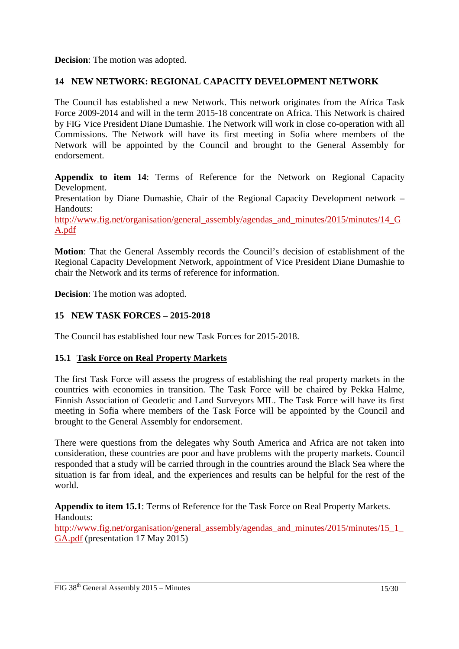**Decision**: The motion was adopted.

## **14 NEW NETWORK: REGIONAL CAPACITY DEVELOPMENT NETWORK**

The Council has established a new Network. This network originates from the Africa Task Force 2009-2014 and will in the term 2015-18 concentrate on Africa. This Network is chaired by FIG Vice President Diane Dumashie. The Network will work in close co-operation with all Commissions. The Network will have its first meeting in Sofia where members of the Network will be appointed by the Council and brought to the General Assembly for endorsement.

**Appendix to item 14**: Terms of Reference for the Network on Regional Capacity Development.

Presentation by Diane Dumashie, Chair of the Regional Capacity Development network – Handouts:

http://www.fig.net/organisation/general\_assembly/agendas\_and\_minutes/2015/minutes/14\_G A.pdf

**Motion**: That the General Assembly records the Council's decision of establishment of the Regional Capacity Development Network, appointment of Vice President Diane Dumashie to chair the Network and its terms of reference for information.

**Decision**: The motion was adopted.

## **15 NEW TASK FORCES – 2015-2018**

The Council has established four new Task Forces for 2015-2018.

## **15.1 Task Force on Real Property Markets**

The first Task Force will assess the progress of establishing the real property markets in the countries with economies in transition. The Task Force will be chaired by Pekka Halme, Finnish Association of Geodetic and Land Surveyors MIL. The Task Force will have its first meeting in Sofia where members of the Task Force will be appointed by the Council and brought to the General Assembly for endorsement.

There were questions from the delegates why South America and Africa are not taken into consideration, these countries are poor and have problems with the property markets. Council responded that a study will be carried through in the countries around the Black Sea where the situation is far from ideal, and the experiences and results can be helpful for the rest of the world.

**Appendix to item 15.1**: Terms of Reference for the Task Force on Real Property Markets. Handouts:

http://www.fig.net/organisation/general\_assembly/agendas\_and\_minutes/2015/minutes/15\_1 GA.pdf (presentation 17 May 2015)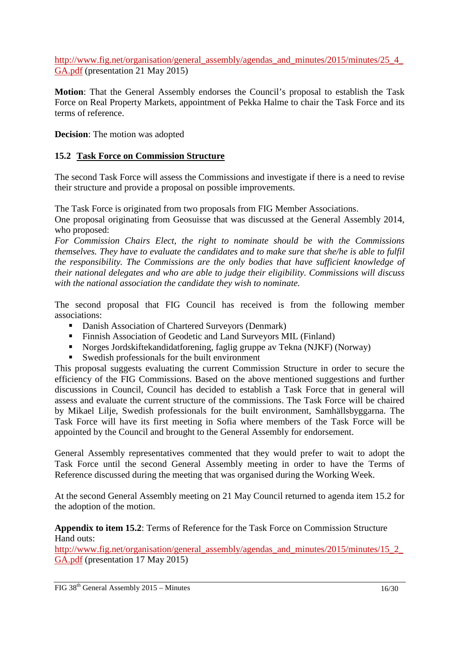http://www.fig.net/organisation/general\_assembly/agendas\_and\_minutes/2015/minutes/25\_4 GA.pdf (presentation 21 May 2015)

**Motion**: That the General Assembly endorses the Council's proposal to establish the Task Force on Real Property Markets, appointment of Pekka Halme to chair the Task Force and its terms of reference.

**Decision**: The motion was adopted

### **15.2 Task Force on Commission Structure**

The second Task Force will assess the Commissions and investigate if there is a need to revise their structure and provide a proposal on possible improvements.

The Task Force is originated from two proposals from FIG Member Associations.

One proposal originating from Geosuisse that was discussed at the General Assembly 2014, who proposed:

*For Commission Chairs Elect, the right to nominate should be with the Commissions themselves. They have to evaluate the candidates and to make sure that she/he is able to fulfil the responsibility. The Commissions are the only bodies that have sufficient knowledge of their national delegates and who are able to judge their eligibility. Commissions will discuss with the national association the candidate they wish to nominate.* 

The second proposal that FIG Council has received is from the following member associations:

- Danish Association of Chartered Surveyors (Denmark)
- Finnish Association of Geodetic and Land Surveyors MIL (Finland)
- Norges Jordskiftekandidatforening, faglig gruppe av Tekna (NJKF) (Norway)
- Swedish professionals for the built environment

This proposal suggests evaluating the current Commission Structure in order to secure the efficiency of the FIG Commissions. Based on the above mentioned suggestions and further discussions in Council, Council has decided to establish a Task Force that in general will assess and evaluate the current structure of the commissions. The Task Force will be chaired by Mikael Lilje, Swedish professionals for the built environment, Samhällsbyggarna. The Task Force will have its first meeting in Sofia where members of the Task Force will be appointed by the Council and brought to the General Assembly for endorsement.

General Assembly representatives commented that they would prefer to wait to adopt the Task Force until the second General Assembly meeting in order to have the Terms of Reference discussed during the meeting that was organised during the Working Week.

At the second General Assembly meeting on 21 May Council returned to agenda item 15.2 for the adoption of the motion.

**Appendix to item 15.2**: Terms of Reference for the Task Force on Commission Structure Hand outs:

http://www.fig.net/organisation/general\_assembly/agendas\_and\_minutes/2015/minutes/15\_2 GA.pdf (presentation 17 May 2015)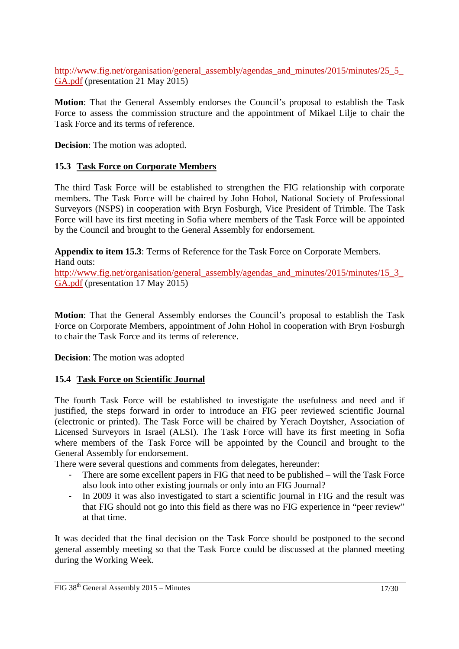http://www.fig.net/organisation/general\_assembly/agendas\_and\_minutes/2015/minutes/25\_5 GA.pdf (presentation 21 May 2015)

**Motion**: That the General Assembly endorses the Council's proposal to establish the Task Force to assess the commission structure and the appointment of Mikael Lilje to chair the Task Force and its terms of reference.

**Decision**: The motion was adopted.

## **15.3 Task Force on Corporate Members**

The third Task Force will be established to strengthen the FIG relationship with corporate members. The Task Force will be chaired by John Hohol, National Society of Professional Surveyors (NSPS) in cooperation with Bryn Fosburgh, Vice President of Trimble. The Task Force will have its first meeting in Sofia where members of the Task Force will be appointed by the Council and brought to the General Assembly for endorsement.

**Appendix to item 15.3**: Terms of Reference for the Task Force on Corporate Members. Hand outs:

http://www.fig.net/organisation/general\_assembly/agendas\_and\_minutes/2015/minutes/15\_3\_ GA.pdf (presentation 17 May 2015)

**Motion**: That the General Assembly endorses the Council's proposal to establish the Task Force on Corporate Members, appointment of John Hohol in cooperation with Bryn Fosburgh to chair the Task Force and its terms of reference.

**Decision**: The motion was adopted

## **15.4 Task Force on Scientific Journal**

The fourth Task Force will be established to investigate the usefulness and need and if justified, the steps forward in order to introduce an FIG peer reviewed scientific Journal (electronic or printed). The Task Force will be chaired by Yerach Doytsher, Association of Licensed Surveyors in Israel (ALSI). The Task Force will have its first meeting in Sofia where members of the Task Force will be appointed by the Council and brought to the General Assembly for endorsement.

There were several questions and comments from delegates, hereunder:

- There are some excellent papers in FIG that need to be published will the Task Force also look into other existing journals or only into an FIG Journal?
- In 2009 it was also investigated to start a scientific journal in FIG and the result was that FIG should not go into this field as there was no FIG experience in "peer review" at that time.

It was decided that the final decision on the Task Force should be postponed to the second general assembly meeting so that the Task Force could be discussed at the planned meeting during the Working Week.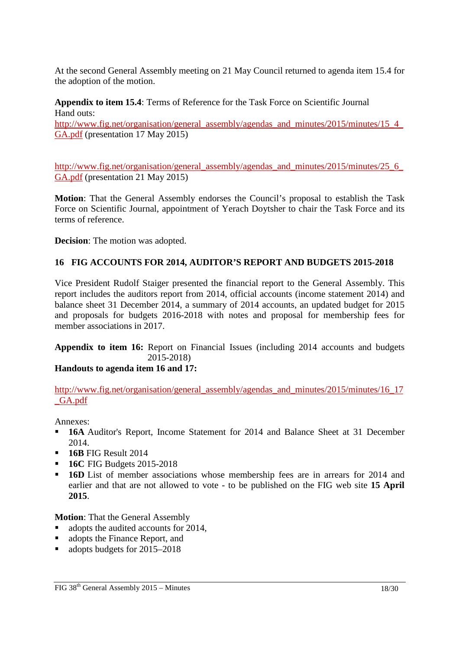At the second General Assembly meeting on 21 May Council returned to agenda item 15.4 for the adoption of the motion.

**Appendix to item 15.4**: Terms of Reference for the Task Force on Scientific Journal Hand outs: http://www.fig.net/organisation/general\_assembly/agendas\_and\_minutes/2015/minutes/15\_4\_ GA.pdf (presentation 17 May 2015)

http://www.fig.net/organisation/general\_assembly/agendas\_and\_minutes/2015/minutes/25\_6 GA.pdf (presentation 21 May 2015)

**Motion**: That the General Assembly endorses the Council's proposal to establish the Task Force on Scientific Journal, appointment of Yerach Doytsher to chair the Task Force and its terms of reference.

**Decision**: The motion was adopted.

## **16 FIG ACCOUNTS FOR 2014, AUDITOR'S REPORT AND BUDGETS 2015-2018**

Vice President Rudolf Staiger presented the financial report to the General Assembly. This report includes the auditors report from 2014, official accounts (income statement 2014) and balance sheet 31 December 2014, a summary of 2014 accounts, an updated budget for 2015 and proposals for budgets 2016-2018 with notes and proposal for membership fees for member associations in 2017.

**Appendix to item 16:** Report on Financial Issues (including 2014 accounts and budgets 2015-2018)

## **Handouts to agenda item 16 and 17:**

http://www.fig.net/organisation/general\_assembly/agendas\_and\_minutes/2015/minutes/16\_17 \_GA.pdf

Annexes:

- **16A** Auditor's Report, Income Statement for 2014 and Balance Sheet at 31 December 2014.
- **16B** FIG Result 2014
- **16C FIG Budgets 2015-2018**
- **16D** List of member associations whose membership fees are in arrears for 2014 and earlier and that are not allowed to vote - to be published on the FIG web site **15 April 2015**.

**Motion**: That the General Assembly

- adopts the audited accounts for 2014,
- adopts the Finance Report, and
- adopts budgets for 2015–2018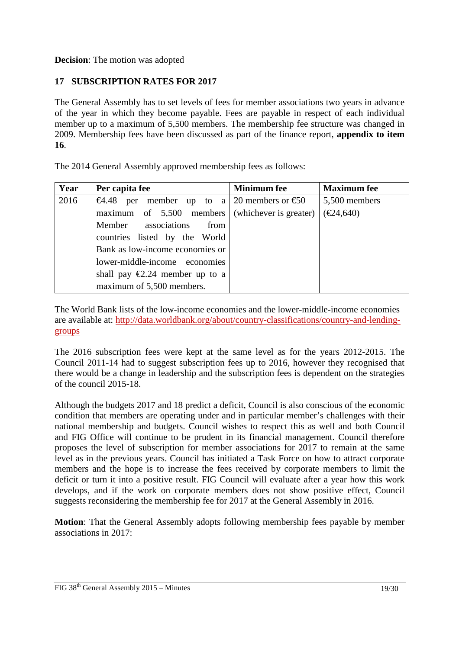**Decision**: The motion was adopted

# **17 SUBSCRIPTION RATES FOR 2017**

The General Assembly has to set levels of fees for member associations two years in advance of the year in which they become payable. Fees are payable in respect of each individual member up to a maximum of 5,500 members. The membership fee structure was changed in 2009. Membership fees have been discussed as part of the finance report, **appendix to item 16**.

The 2014 General Assembly approved membership fees as follows:

| Year | Per capita fee                                    | <b>Minimum</b> fee | <b>Maximum</b> fee             |
|------|---------------------------------------------------|--------------------|--------------------------------|
| 2016 | €4.48 per member up to a 20 members or €50        |                    | 5,500 members                  |
|      | maximum of $5,500$ members (whichever is greater) |                    | $(\text{\textsterling}24,640)$ |
|      | Member associations<br>from                       |                    |                                |
|      | countries listed by the World                     |                    |                                |
|      | Bank as low-income economies or                   |                    |                                |
|      | lower-middle-income economies                     |                    |                                |
|      | shall pay $\epsilon$ 2.24 member up to a          |                    |                                |
|      | maximum of 5,500 members.                         |                    |                                |

The World Bank lists of the low-income economies and the lower-middle-income economies are available at: http://data.worldbank.org/about/country-classifications/country-and-lendinggroups

The 2016 subscription fees were kept at the same level as for the years 2012-2015. The Council 2011-14 had to suggest subscription fees up to 2016, however they recognised that there would be a change in leadership and the subscription fees is dependent on the strategies of the council 2015-18.

Although the budgets 2017 and 18 predict a deficit, Council is also conscious of the economic condition that members are operating under and in particular member's challenges with their national membership and budgets. Council wishes to respect this as well and both Council and FIG Office will continue to be prudent in its financial management. Council therefore proposes the level of subscription for member associations for 2017 to remain at the same level as in the previous years. Council has initiated a Task Force on how to attract corporate members and the hope is to increase the fees received by corporate members to limit the deficit or turn it into a positive result. FIG Council will evaluate after a year how this work develops, and if the work on corporate members does not show positive effect, Council suggests reconsidering the membership fee for 2017 at the General Assembly in 2016.

**Motion**: That the General Assembly adopts following membership fees payable by member associations in 2017: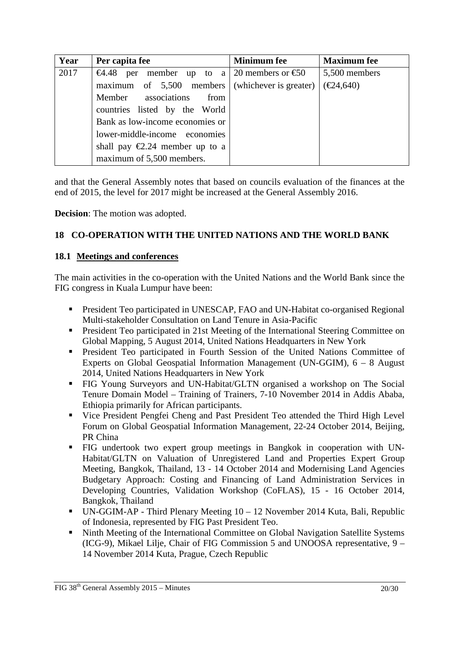| Year | Per capita fee                                    | <b>Minimum</b> fee | <b>Maximum</b> fee             |
|------|---------------------------------------------------|--------------------|--------------------------------|
| 2017 | €4.48 per member up to a 20 members or €50        |                    | 5,500 members                  |
|      | maximum of $5,500$ members (whichever is greater) |                    | $(\text{\textsterling}24,640)$ |
|      | Member associations<br>from                       |                    |                                |
|      | countries listed by the World                     |                    |                                |
|      | Bank as low-income economies or                   |                    |                                |
|      | lower-middle-income economies                     |                    |                                |
|      | shall pay $\epsilon$ 2.24 member up to a          |                    |                                |
|      | maximum of 5,500 members.                         |                    |                                |

and that the General Assembly notes that based on councils evaluation of the finances at the end of 2015, the level for 2017 might be increased at the General Assembly 2016.

**Decision**: The motion was adopted.

# **18 CO-OPERATION WITH THE UNITED NATIONS AND THE WORLD BANK**

#### **18.1 Meetings and conferences**

The main activities in the co-operation with the United Nations and the World Bank since the FIG congress in Kuala Lumpur have been:

- President Teo participated in UNESCAP, FAO and UN-Habitat co-organised Regional Multi-stakeholder Consultation on Land Tenure in Asia-Pacific
- **President Teo participated in 21st Meeting of the International Steering Committee on** Global Mapping, 5 August 2014, United Nations Headquarters in New York
- **President Teo participated in Fourth Session of the United Nations Committee of** Experts on Global Geospatial Information Management (UN-GGIM), 6 – 8 August 2014, United Nations Headquarters in New York
- FIG Young Surveyors and UN-Habitat/GLTN organised a workshop on The Social Tenure Domain Model – Training of Trainers, 7-10 November 2014 in Addis Ababa, Ethiopia primarily for African participants.
- Vice President Pengfei Cheng and Past President Teo attended the Third High Level Forum on Global Geospatial Information Management, 22-24 October 2014, Beijing, PR China
- FIG undertook two expert group meetings in Bangkok in cooperation with UN-Habitat/GLTN on Valuation of Unregistered Land and Properties Expert Group Meeting, Bangkok, Thailand, 13 - 14 October 2014 and Modernising Land Agencies Budgetary Approach: Costing and Financing of Land Administration Services in Developing Countries, Validation Workshop (CoFLAS), 15 - 16 October 2014, Bangkok, Thailand
- UN-GGIM-AP Third Plenary Meeting 10 12 November 2014 Kuta, Bali, Republic of Indonesia, represented by FIG Past President Teo.
- Ninth Meeting of the International Committee on Global Navigation Satellite Systems (ICG-9), Mikael Lilje, Chair of FIG Commission 5 and UNOOSA representative, 9 – 14 November 2014 Kuta, Prague, Czech Republic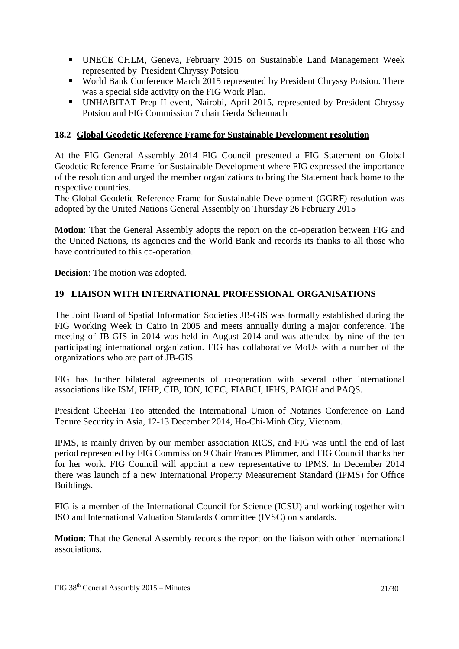- UNECE CHLM, Geneva, February 2015 on Sustainable Land Management Week represented by President Chryssy Potsiou
- World Bank Conference March 2015 represented by President Chryssy Potsiou. There was a special side activity on the FIG Work Plan.
- UNHABITAT Prep II event, Nairobi, April 2015, represented by President Chryssy Potsiou and FIG Commission 7 chair Gerda Schennach

## **18.2 Global Geodetic Reference Frame for Sustainable Development resolution**

At the FIG General Assembly 2014 FIG Council presented a FIG Statement on Global Geodetic Reference Frame for Sustainable Development where FIG expressed the importance of the resolution and urged the member organizations to bring the Statement back home to the respective countries.

The Global Geodetic Reference Frame for Sustainable Development (GGRF) resolution was adopted by the United Nations General Assembly on Thursday 26 February 2015

**Motion**: That the General Assembly adopts the report on the co-operation between FIG and the United Nations, its agencies and the World Bank and records its thanks to all those who have contributed to this co-operation.

**Decision**: The motion was adopted.

## **19 LIAISON WITH INTERNATIONAL PROFESSIONAL ORGANISATIONS**

The Joint Board of Spatial Information Societies JB-GIS was formally established during the FIG Working Week in Cairo in 2005 and meets annually during a major conference. The meeting of JB-GIS in 2014 was held in August 2014 and was attended by nine of the ten participating international organization. FIG has collaborative MoUs with a number of the organizations who are part of JB-GIS.

FIG has further bilateral agreements of co-operation with several other international associations like ISM, IFHP, CIB, ION, ICEC, FIABCI, IFHS, PAIGH and PAQS.

President CheeHai Teo attended the International Union of Notaries Conference on Land Tenure Security in Asia, 12-13 December 2014, Ho-Chi-Minh City, Vietnam.

IPMS, is mainly driven by our member association RICS, and FIG was until the end of last period represented by FIG Commission 9 Chair Frances Plimmer, and FIG Council thanks her for her work. FIG Council will appoint a new representative to IPMS. In December 2014 there was launch of a new International Property Measurement Standard (IPMS) for Office Buildings.

FIG is a member of the International Council for Science (ICSU) and working together with ISO and International Valuation Standards Committee (IVSC) on standards.

**Motion**: That the General Assembly records the report on the liaison with other international associations.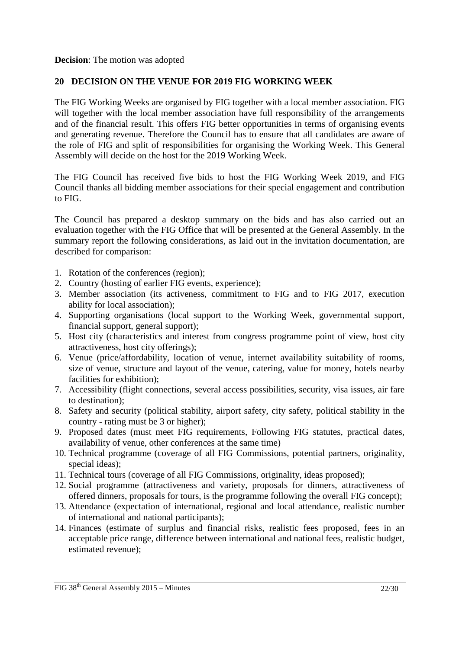**Decision**: The motion was adopted

### **20 DECISION ON THE VENUE FOR 2019 FIG WORKING WEEK**

The FIG Working Weeks are organised by FIG together with a local member association. FIG will together with the local member association have full responsibility of the arrangements and of the financial result. This offers FIG better opportunities in terms of organising events and generating revenue. Therefore the Council has to ensure that all candidates are aware of the role of FIG and split of responsibilities for organising the Working Week. This General Assembly will decide on the host for the 2019 Working Week.

The FIG Council has received five bids to host the FIG Working Week 2019, and FIG Council thanks all bidding member associations for their special engagement and contribution to FIG.

The Council has prepared a desktop summary on the bids and has also carried out an evaluation together with the FIG Office that will be presented at the General Assembly. In the summary report the following considerations, as laid out in the invitation documentation, are described for comparison:

- 1. Rotation of the conferences (region);
- 2. Country (hosting of earlier FIG events, experience);
- 3. Member association (its activeness, commitment to FIG and to FIG 2017, execution ability for local association);
- 4. Supporting organisations (local support to the Working Week, governmental support, financial support, general support);
- 5. Host city (characteristics and interest from congress programme point of view, host city attractiveness, host city offerings);
- 6. Venue (price/affordability, location of venue, internet availability suitability of rooms, size of venue, structure and layout of the venue, catering, value for money, hotels nearby facilities for exhibition);
- 7. Accessibility (flight connections, several access possibilities, security, visa issues, air fare to destination);
- 8. Safety and security (political stability, airport safety, city safety, political stability in the country - rating must be 3 or higher);
- 9. Proposed dates (must meet FIG requirements, Following FIG statutes, practical dates, availability of venue, other conferences at the same time)
- 10. Technical programme (coverage of all FIG Commissions, potential partners, originality, special ideas);
- 11. Technical tours (coverage of all FIG Commissions, originality, ideas proposed);
- 12. Social programme (attractiveness and variety, proposals for dinners, attractiveness of offered dinners, proposals for tours, is the programme following the overall FIG concept);
- 13. Attendance (expectation of international, regional and local attendance, realistic number of international and national participants);
- 14. Finances (estimate of surplus and financial risks, realistic fees proposed, fees in an acceptable price range, difference between international and national fees, realistic budget, estimated revenue);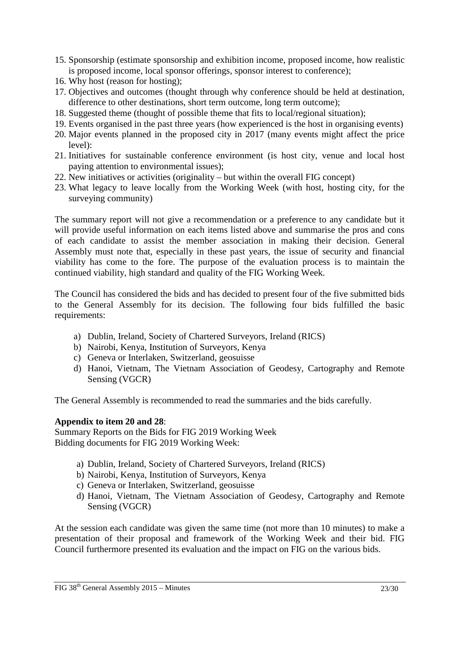- 15. Sponsorship (estimate sponsorship and exhibition income, proposed income, how realistic is proposed income, local sponsor offerings, sponsor interest to conference);
- 16. Why host (reason for hosting);
- 17. Objectives and outcomes (thought through why conference should be held at destination, difference to other destinations, short term outcome, long term outcome);
- 18. Suggested theme (thought of possible theme that fits to local/regional situation);
- 19. Events organised in the past three years (how experienced is the host in organising events)
- 20. Major events planned in the proposed city in 2017 (many events might affect the price level):
- 21. Initiatives for sustainable conference environment (is host city, venue and local host paying attention to environmental issues);
- 22. New initiatives or activities (originality but within the overall FIG concept)
- 23. What legacy to leave locally from the Working Week (with host, hosting city, for the surveying community)

The summary report will not give a recommendation or a preference to any candidate but it will provide useful information on each items listed above and summarise the pros and cons of each candidate to assist the member association in making their decision. General Assembly must note that, especially in these past years, the issue of security and financial viability has come to the fore. The purpose of the evaluation process is to maintain the continued viability, high standard and quality of the FIG Working Week.

The Council has considered the bids and has decided to present four of the five submitted bids to the General Assembly for its decision. The following four bids fulfilled the basic requirements:

- a) Dublin, Ireland, Society of Chartered Surveyors, Ireland (RICS)
- b) Nairobi, Kenya, Institution of Surveyors, Kenya
- c) Geneva or Interlaken, Switzerland, geosuisse
- d) Hanoi, Vietnam, The Vietnam Association of Geodesy, Cartography and Remote Sensing (VGCR)

The General Assembly is recommended to read the summaries and the bids carefully.

#### **Appendix to item 20 and 28**:

Summary Reports on the Bids for FIG 2019 Working Week Bidding documents for FIG 2019 Working Week:

- a) Dublin, Ireland, Society of Chartered Surveyors, Ireland (RICS)
- b) Nairobi, Kenya, Institution of Surveyors, Kenya
- c) Geneva or Interlaken, Switzerland, geosuisse
- d) Hanoi, Vietnam, The Vietnam Association of Geodesy, Cartography and Remote Sensing (VGCR)

At the session each candidate was given the same time (not more than 10 minutes) to make a presentation of their proposal and framework of the Working Week and their bid. FIG Council furthermore presented its evaluation and the impact on FIG on the various bids.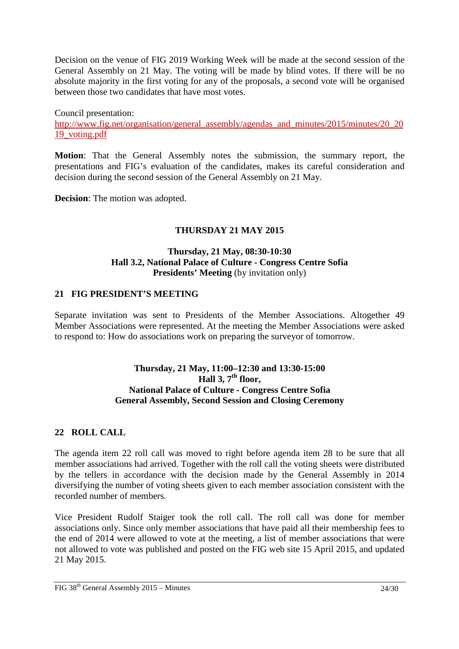Decision on the venue of FIG 2019 Working Week will be made at the second session of the General Assembly on 21 May. The voting will be made by blind votes. If there will be no absolute majority in the first voting for any of the proposals, a second vote will be organised between those two candidates that have most votes.

Council presentation: http://www.fig.net/organisation/general\_assembly/agendas\_and\_minutes/2015/minutes/20\_20\_20 19\_voting.pdf

**Motion**: That the General Assembly notes the submission, the summary report, the presentations and FIG's evaluation of the candidates, makes its careful consideration and decision during the second session of the General Assembly on 21 May.

**Decision**: The motion was adopted.

### **THURSDAY 21 MAY 2015**

#### **Thursday, 21 May, 08:30-10:30 Hall 3.2, National Palace of Culture - Congress Centre Sofia Presidents' Meeting** (by invitation only)

#### **21 FIG PRESIDENT'S MEETING**

Separate invitation was sent to Presidents of the Member Associations. Altogether 49 Member Associations were represented. At the meeting the Member Associations were asked to respond to: How do associations work on preparing the surveyor of tomorrow.

### **Thursday, 21 May, 11:00–12:30 and 13:30-15:00**   $Hall 3, 7<sup>th</sup> floor.$ **National Palace of Culture - Congress Centre Sofia General Assembly, Second Session and Closing Ceremony**

#### **22 ROLL CALL**

The agenda item 22 roll call was moved to right before agenda item 28 to be sure that all member associations had arrived. Together with the roll call the voting sheets were distributed by the tellers in accordance with the decision made by the General Assembly in 2014 diversifying the number of voting sheets given to each member association consistent with the recorded number of members.

Vice President Rudolf Staiger took the roll call. The roll call was done for member associations only. Since only member associations that have paid all their membership fees to the end of 2014 were allowed to vote at the meeting, a list of member associations that were not allowed to vote was published and posted on the FIG web site 15 April 2015, and updated 21 May 2015.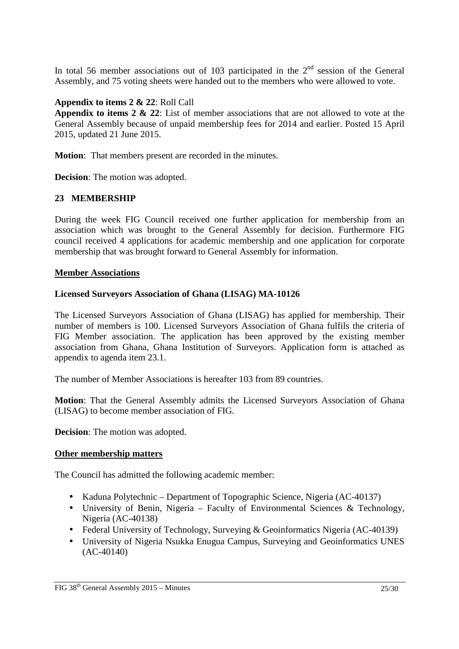In total 56 member associations out of 103 participated in the  $2<sup>nd</sup>$  session of the General Assembly, and 75 voting sheets were handed out to the members who were allowed to vote.

### **Appendix to items 2 & 22**: Roll Call

**Appendix to items 2 & 22**: List of member associations that are not allowed to vote at the General Assembly because of unpaid membership fees for 2014 and earlier. Posted 15 April 2015, updated 21 June 2015.

**Motion**: That members present are recorded in the minutes.

**Decision**: The motion was adopted.

### **23 MEMBERSHIP**

During the week FIG Council received one further application for membership from an association which was brought to the General Assembly for decision. Furthermore FIG council received 4 applications for academic membership and one application for corporate membership that was brought forward to General Assembly for information.

#### **Member Associations**

#### **Licensed Surveyors Association of Ghana (LISAG) MA-10126**

The Licensed Surveyors Association of Ghana (LISAG) has applied for membership. Their number of members is 100. Licensed Surveyors Association of Ghana fulfils the criteria of FIG Member association. The application has been approved by the existing member association from Ghana, Ghana Institution of Surveyors. Application form is attached as appendix to agenda item 23.1.

The number of Member Associations is hereafter 103 from 89 countries.

**Motion**: That the General Assembly admits the Licensed Surveyors Association of Ghana (LISAG) to become member association of FIG.

**Decision**: The motion was adopted.

#### **Other membership matters**

The Council has admitted the following academic member:

- Kaduna Polytechnic Department of Topographic Science, Nigeria (AC-40137)
- University of Benin, Nigeria Faculty of Environmental Sciences & Technology, Nigeria (AC-40138)
- Federal University of Technology, Surveying & Geoinformatics Nigeria (AC-40139)
- University of Nigeria Nsukka Enugua Campus, Surveying and Geoinformatics UNES (AC-40140)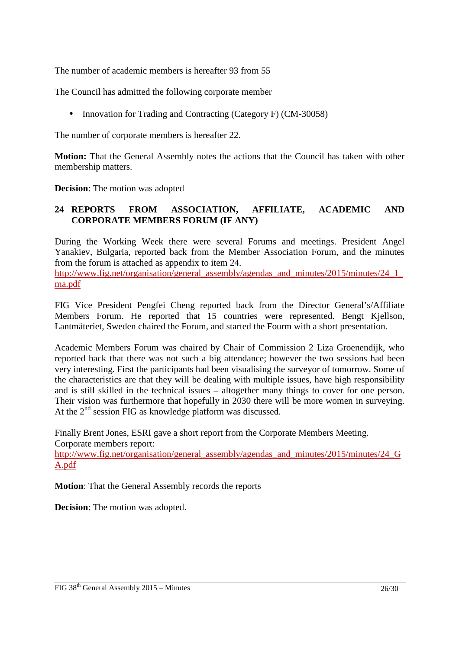The number of academic members is hereafter 93 from 55

The Council has admitted the following corporate member

• Innovation for Trading and Contracting (Category F) (CM-30058)

The number of corporate members is hereafter 22.

**Motion:** That the General Assembly notes the actions that the Council has taken with other membership matters.

**Decision**: The motion was adopted

# **24 REPORTS FROM ASSOCIATION, AFFILIATE, ACADEMIC AND CORPORATE MEMBERS FORUM (IF ANY)**

During the Working Week there were several Forums and meetings. President Angel Yanakiev, Bulgaria, reported back from the Member Association Forum, and the minutes from the forum is attached as appendix to item 24.

http://www.fig.net/organisation/general\_assembly/agendas\_and\_minutes/2015/minutes/24\_1\_ ma.pdf

FIG Vice President Pengfei Cheng reported back from the Director General's/Affiliate Members Forum. He reported that 15 countries were represented. Bengt Kjellson, Lantmäteriet, Sweden chaired the Forum, and started the Fourm with a short presentation.

Academic Members Forum was chaired by Chair of Commission 2 Liza Groenendijk, who reported back that there was not such a big attendance; however the two sessions had been very interesting. First the participants had been visualising the surveyor of tomorrow. Some of the characteristics are that they will be dealing with multiple issues, have high responsibility and is still skilled in the technical issues – altogether many things to cover for one person. Their vision was furthermore that hopefully in 2030 there will be more women in surveying. At the  $2<sup>nd</sup>$  session FIG as knowledge platform was discussed.

Finally Brent Jones, ESRI gave a short report from the Corporate Members Meeting. Corporate members report:

http://www.fig.net/organisation/general\_assembly/agendas\_and\_minutes/2015/minutes/24\_G A.pdf

**Motion**: That the General Assembly records the reports

**Decision**: The motion was adopted.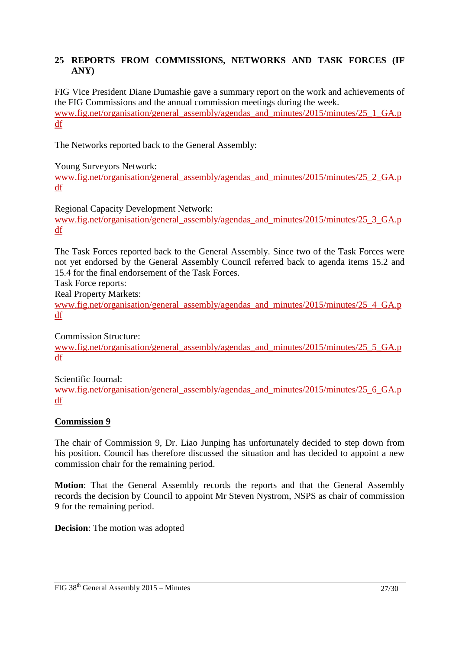### **25 REPORTS FROM COMMISSIONS, NETWORKS AND TASK FORCES (IF ANY)**

FIG Vice President Diane Dumashie gave a summary report on the work and achievements of the FIG Commissions and the annual commission meetings during the week. www.fig.net/organisation/general\_assembly/agendas\_and\_minutes/2015/minutes/25\_1\_GA.p df

The Networks reported back to the General Assembly:

Young Surveyors Network:

www.fig.net/organisation/general\_assembly/agendas\_and\_minutes/2015/minutes/25\_2\_GA.p df

Regional Capacity Development Network:

www.fig.net/organisation/general\_assembly/agendas\_and\_minutes/2015/minutes/25\_3\_GA.p df

The Task Forces reported back to the General Assembly. Since two of the Task Forces were not yet endorsed by the General Assembly Council referred back to agenda items 15.2 and 15.4 for the final endorsement of the Task Forces.

Task Force reports:

Real Property Markets:

www.fig.net/organisation/general\_assembly/agendas\_and\_minutes/2015/minutes/25\_4\_GA.p df

Commission Structure: www.fig.net/organisation/general\_assembly/agendas\_and\_minutes/2015/minutes/25\_5\_GA.p df

Scientific Journal:

www.fig.net/organisation/general\_assembly/agendas\_and\_minutes/2015/minutes/25\_6\_GA.p df

#### **Commission 9**

The chair of Commission 9, Dr. Liao Junping has unfortunately decided to step down from his position. Council has therefore discussed the situation and has decided to appoint a new commission chair for the remaining period.

**Motion**: That the General Assembly records the reports and that the General Assembly records the decision by Council to appoint Mr Steven Nystrom, NSPS as chair of commission 9 for the remaining period.

**Decision**: The motion was adopted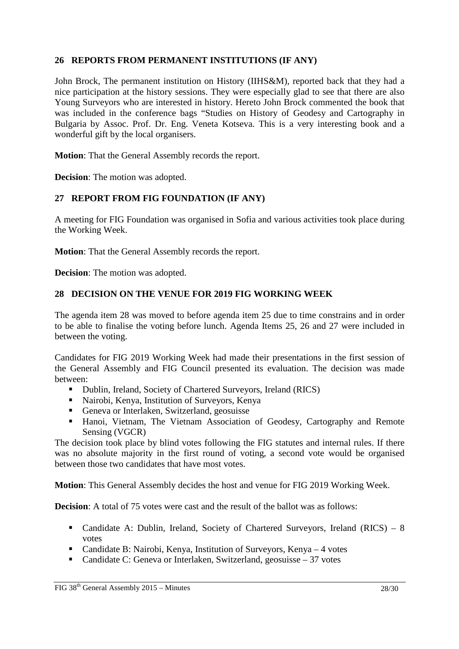### **26 REPORTS FROM PERMANENT INSTITUTIONS (IF ANY)**

John Brock, The permanent institution on History (IIHS&M), reported back that they had a nice participation at the history sessions. They were especially glad to see that there are also Young Surveyors who are interested in history. Hereto John Brock commented the book that was included in the conference bags "Studies on History of Geodesy and Cartography in Bulgaria by Assoc. Prof. Dr. Eng. Veneta Kotseva. This is a very interesting book and a wonderful gift by the local organisers.

**Motion**: That the General Assembly records the report.

**Decision**: The motion was adopted.

### **27 REPORT FROM FIG FOUNDATION (IF ANY)**

A meeting for FIG Foundation was organised in Sofia and various activities took place during the Working Week.

**Motion**: That the General Assembly records the report.

**Decision**: The motion was adopted.

#### **28 DECISION ON THE VENUE FOR 2019 FIG WORKING WEEK**

The agenda item 28 was moved to before agenda item 25 due to time constrains and in order to be able to finalise the voting before lunch. Agenda Items 25, 26 and 27 were included in between the voting.

Candidates for FIG 2019 Working Week had made their presentations in the first session of the General Assembly and FIG Council presented its evaluation. The decision was made between:

- Dublin, Ireland, Society of Chartered Surveyors, Ireland (RICS)
- Nairobi, Kenya, Institution of Surveyors, Kenya
- Geneva or Interlaken, Switzerland, geosuisse
- Hanoi, Vietnam, The Vietnam Association of Geodesy, Cartography and Remote Sensing (VGCR)

The decision took place by blind votes following the FIG statutes and internal rules. If there was no absolute majority in the first round of voting, a second vote would be organised between those two candidates that have most votes.

**Motion**: This General Assembly decides the host and venue for FIG 2019 Working Week.

**Decision:** A total of 75 votes were cast and the result of the ballot was as follows:

- Candidate A: Dublin, Ireland, Society of Chartered Surveyors, Ireland (RICS) 8 votes
- Candidate B: Nairobi, Kenya, Institution of Surveyors, Kenya 4 votes
- Candidate C: Geneva or Interlaken, Switzerland, geosuisse 37 votes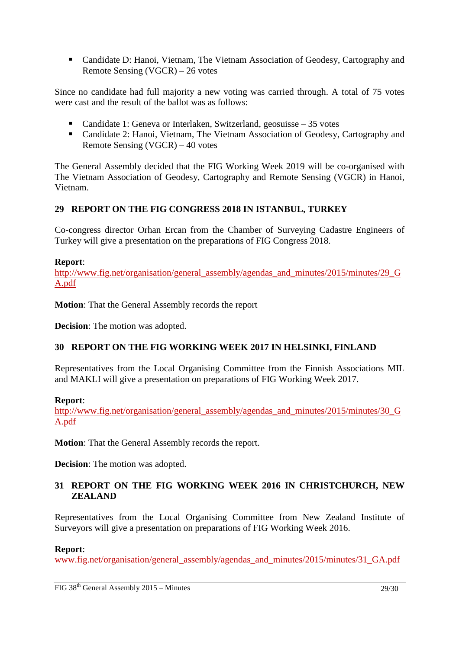Candidate D: Hanoi, Vietnam, The Vietnam Association of Geodesy, Cartography and Remote Sensing (VGCR) – 26 votes

Since no candidate had full majority a new voting was carried through. A total of 75 votes were cast and the result of the ballot was as follows:

- Candidate 1: Geneva or Interlaken, Switzerland, geosuisse 35 votes
- Candidate 2: Hanoi, Vietnam, The Vietnam Association of Geodesy, Cartography and Remote Sensing (VGCR) – 40 votes

The General Assembly decided that the FIG Working Week 2019 will be co-organised with The Vietnam Association of Geodesy, Cartography and Remote Sensing (VGCR) in Hanoi, Vietnam.

# **29 REPORT ON THE FIG CONGRESS 2018 IN ISTANBUL, TURKEY**

Co-congress director Orhan Ercan from the Chamber of Surveying Cadastre Engineers of Turkey will give a presentation on the preparations of FIG Congress 2018.

### **Report**:

http://www.fig.net/organisation/general\_assembly/agendas\_and\_minutes/2015/minutes/29\_G A.pdf

**Motion**: That the General Assembly records the report

**Decision**: The motion was adopted.

## **30 REPORT ON THE FIG WORKING WEEK 2017 IN HELSINKI, FINLAND**

Representatives from the Local Organising Committee from the Finnish Associations MIL and MAKLI will give a presentation on preparations of FIG Working Week 2017.

## **Report**:

http://www.fig.net/organisation/general\_assembly/agendas\_and\_minutes/2015/minutes/30\_G A.pdf

**Motion**: That the General Assembly records the report.

**Decision**: The motion was adopted.

## **31 REPORT ON THE FIG WORKING WEEK 2016 IN CHRISTCHURCH, NEW ZEALAND**

Representatives from the Local Organising Committee from New Zealand Institute of Surveyors will give a presentation on preparations of FIG Working Week 2016.

## **Report**:

www.fig.net/organisation/general\_assembly/agendas\_and\_minutes/2015/minutes/31\_GA.pdf